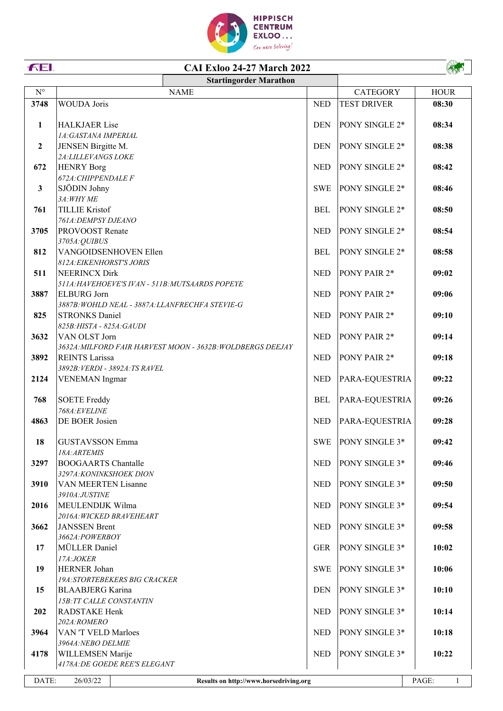

## **CAI Exloo 24-27 March 2022**

**FEL** 

ANS

|                                                             |                                                                         | <b>Startingorder Marathon</b>                              |            |                    |                       |
|-------------------------------------------------------------|-------------------------------------------------------------------------|------------------------------------------------------------|------------|--------------------|-----------------------|
| $\mathbf{N}^{\circ}$                                        |                                                                         | <b>NAME</b>                                                |            | <b>CATEGORY</b>    | <b>HOUR</b>           |
| 3748                                                        | <b>WOUDA</b> Joris                                                      |                                                            | <b>NED</b> | <b>TEST DRIVER</b> | 08:30                 |
| $\mathbf{1}$                                                | <b>HALKJAER Lise</b><br>1A: GASTANA IMPERIAL                            |                                                            | <b>DEN</b> | PONY SINGLE 2*     | 08:34                 |
| $\boldsymbol{2}$                                            | JENSEN Birgitte M.                                                      |                                                            | <b>DEN</b> | PONY SINGLE 2*     | 08:38                 |
| 672                                                         | 2A: LILLEVANGS LOKE<br><b>HENRY Borg</b>                                |                                                            | <b>NED</b> | PONY SINGLE 2*     | 08:42                 |
| $\mathbf{3}$                                                | 672A: CHIPPENDALE F<br>SJÖDIN Johny                                     |                                                            | <b>SWE</b> | PONY SINGLE 2*     | 08:46                 |
| 761                                                         | 3A: WHY ME<br><b>TILLIE Kristof</b>                                     |                                                            | <b>BEL</b> | PONY SINGLE 2*     | 08:50                 |
| 3705                                                        | 761A: DEMPSY DJEANO<br>PROVOOST Renate                                  |                                                            | <b>NED</b> | PONY SINGLE 2*     | 08:54                 |
| 812                                                         | 3705A: QUIBUS<br>VANGOIDSENHOVEN Ellen<br>812A: EIKENHORST'S JORIS      |                                                            | <b>BEL</b> | PONY SINGLE 2*     | 08:58                 |
| 511                                                         | <b>NEERINCX Dirk</b><br>511A: HAVEHOEVE'S IVAN - 511B: MUTSAARDS POPEYE |                                                            | <b>NED</b> | PONY PAIR 2*       | 09:02                 |
| 3887                                                        | <b>ELBURG</b> Jorn<br>3887B: WOHLD NEAL - 3887A: LLANFRECHFA STEVIE-G   |                                                            | <b>NED</b> | PONY PAIR 2*       | 09:06                 |
| 825                                                         | <b>STRONKS Daniel</b><br>825B: HISTA - 825A: GAUDI                      |                                                            | <b>NED</b> | PONY PAIR 2*       | 09:10                 |
| 3632                                                        | VAN OLST Jorn                                                           | 3632A: MILFORD FAIR HARVEST MOON - 3632B: WOLDBERGS DEEJAY | <b>NED</b> | PONY PAIR 2*       | 09:14                 |
| 3892                                                        | <b>REINTS Larissa</b><br>3892B: VERDI - 3892A: TS RAVEL                 |                                                            | <b>NED</b> | PONY PAIR 2*       | 09:18                 |
| 2124                                                        | <b>VENEMAN</b> Ingmar                                                   |                                                            | <b>NED</b> | PARA-EQUESTRIA     | 09:22                 |
| 768                                                         | <b>SOETE Freddy</b><br>768A:EVELINE                                     |                                                            | <b>BEL</b> | PARA-EQUESTRIA     | 09:26                 |
| 4863                                                        | DE BOER Josien                                                          |                                                            | <b>NED</b> | PARA-EQUESTRIA     | 09:28                 |
| 18                                                          | <b>GUSTAVSSON Emma</b><br>18A: ARTEMIS                                  |                                                            | <b>SWE</b> | PONY SINGLE 3*     | 09:42                 |
| 3297                                                        | <b>BOOGAARTS Chantalle</b><br>3297A: KONINKSHOEK DION                   |                                                            | <b>NED</b> | PONY SINGLE 3*     | 09:46                 |
| 3910                                                        | VAN MEERTEN Lisanne<br>3910A:JUSTINE                                    |                                                            | <b>NED</b> | PONY SINGLE 3*     | 09:50                 |
| 2016                                                        | MEULENDIJK Wilma<br>2016A: WICKED BRAVEHEART                            |                                                            | <b>NED</b> | PONY SINGLE 3*     | 09:54                 |
| 3662                                                        | <b>JANSSEN Brent</b><br>3662A:POWERBOY                                  |                                                            | <b>NED</b> | PONY SINGLE 3*     | 09:58                 |
| 17                                                          | MÜLLER Daniel<br>17A:JOKER                                              |                                                            | <b>GER</b> | PONY SINGLE 3*     | 10:02                 |
| 19                                                          | HERNER Johan<br><b>19A:STORTEBEKERS BIG CRACKER</b>                     |                                                            | <b>SWE</b> | PONY SINGLE 3*     | 10:06                 |
| 15                                                          | <b>BLAABJERG</b> Karina<br>15B: TT CALLE CONSTANTIN                     |                                                            | <b>DEN</b> | PONY SINGLE 3*     | 10:10                 |
| 202                                                         | RADSTAKE Henk<br>202A:ROMERO                                            |                                                            | <b>NED</b> | PONY SINGLE 3*     | 10:14                 |
| 3964                                                        | VAN 'T VELD Marloes<br>3964A: NEBO DELMIE                               |                                                            | <b>NED</b> | PONY SINGLE 3*     | 10:18                 |
| 4178                                                        | WILLEMSEN Marije<br>4178A: DE GOEDE REE'S ELEGANT                       |                                                            | <b>NED</b> | PONY SINGLE 3*     | 10:22                 |
| DATE:<br>26/03/22<br>Results on http://www.horsedriving.org |                                                                         |                                                            |            |                    | PAGE:<br>$\mathbf{1}$ |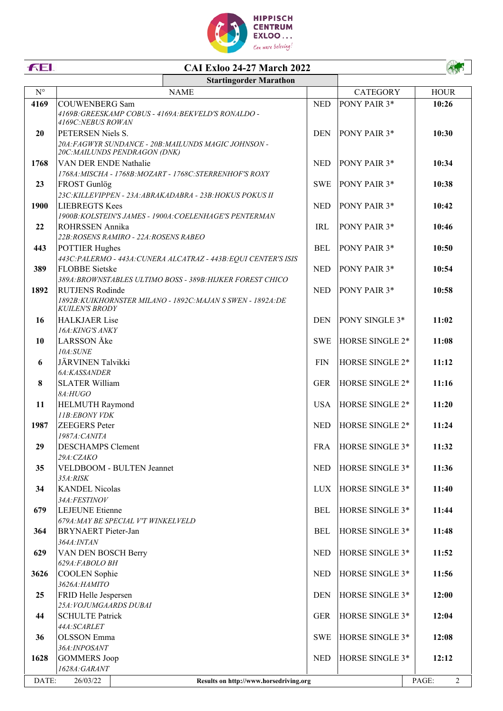

## **CAI Exloo 24-27 March 2022 Startingorder Marathon**

**FEL** 

| $N^{\circ}$ | <b>NAME</b>                                                                                                                                          |            | <b>CATEGORY</b>      | <b>HOUR</b>             |
|-------------|------------------------------------------------------------------------------------------------------------------------------------------------------|------------|----------------------|-------------------------|
| 4169        | <b>COUWENBERG Sam</b><br>4169B: GREESKAMP COBUS - 4169A: BEKVELD'S RONALDO -<br>4169C:NEBUS ROWAN                                                    | <b>NED</b> | PONY PAIR 3*         | 10:26                   |
| 20          | PETERSEN Niels S.<br>20A: FAGWYR SUNDANCE - 20B: MAILUNDS MAGIC JOHNSON -<br>20C: MAILUNDS PENDRAGON (DNK)                                           | <b>DEN</b> | <b>PONY PAIR 3*</b>  | 10:30                   |
| 1768        | VAN DER ENDE Nathalie                                                                                                                                | <b>NED</b> | PONY PAIR 3*         | 10:34                   |
| 23          | 1768A: MISCHA - 1768B: MOZART - 1768C: STERRENHOF'S ROXY<br>FROST Gunlög                                                                             | <b>SWE</b> | PONY PAIR 3*         | 10:38                   |
| 1900        | 23C: KILLEVIPPEN - 23A: ABRAKADABRA - 23B: HOKUS POKUS II<br><b>LIEBREGTS Kees</b><br>1900B: KOLSTEIN'S JAMES - 1900A: COELENHAGE'S PENTERMAN        | <b>NED</b> | <b>PONY PAIR 3*</b>  | 10:42                   |
| 22          | ROHRSSEN Annika<br>22B: ROSENS RAMIRO - 22A: ROSENS RABEO                                                                                            | IRL        | PONY PAIR 3*         | 10:46                   |
| 443         | <b>POTTIER Hughes</b><br>443C: PALERMO - 443A: CUNERA ALCATRAZ - 443B: EQUI CENTER'S ISIS                                                            | <b>BEL</b> | PONY PAIR 3*         | 10:50                   |
| 389         | FLOBBE Sietske                                                                                                                                       | <b>NED</b> | PONY PAIR 3*         | 10:54                   |
| 1892        | 389A: BROWNSTABLES ULTIMO BOSS - 389B: HIJKER FOREST CHICO<br><b>RUTJENS Rodinde</b><br>1892B: KUIKHORNSTER MILANO - 1892C: MAJAN S SWEN - 1892A: DE | <b>NED</b> | PONY PAIR 3*         | 10:58                   |
| 16          | <b>KUILEN'S BRODY</b><br><b>HALKJAER Lise</b><br>16A: KING'S ANKY                                                                                    | <b>DEN</b> | PONY SINGLE 3*       | 11:02                   |
| 10          | <b>LARSSON</b> Åke<br>10A:SUNE                                                                                                                       | <b>SWE</b> | HORSE SINGLE 2*      | 11:08                   |
| 6           | JÄRVINEN Talvikki<br>6A:KASSANDER                                                                                                                    | <b>FIN</b> | HORSE SINGLE 2*      | 11:12                   |
| 8           | <b>SLATER William</b>                                                                                                                                | <b>GER</b> | HORSE SINGLE 2*      | 11:16                   |
| 11          | 8A:HUGO<br><b>HELMUTH Raymond</b>                                                                                                                    | <b>USA</b> | HORSE SINGLE 2*      | 11:20                   |
| 1987        | 11B:EBONY VDK<br><b>ZEEGERS</b> Peter                                                                                                                | <b>NED</b> | HORSE SINGLE 2*      | 11:24                   |
| 29          | 1987A: CANITA<br><b>DESCHAMPS Clement</b>                                                                                                            | <b>FRA</b> | HORSE SINGLE 3*      | 11:32                   |
| 35          | 29A:CZAKO<br>VELDBOOM - BULTEN Jeannet                                                                                                               |            | NED  HORSE SINGLE 3* | 11:36                   |
| 34          | 35A:RISK<br><b>KANDEL Nicolas</b>                                                                                                                    | <b>LUX</b> | HORSE SINGLE 3*      | 11:40                   |
| 679         | 34A:FESTINOV<br><b>LEJEUNE</b> Etienne                                                                                                               | <b>BEL</b> | HORSE SINGLE 3*      | 11:44                   |
| 364         | 679A: MAY BE SPECIAL V'T WINKELVELD<br><b>BRYNAERT</b> Pieter-Jan                                                                                    | <b>BEL</b> | HORSE SINGLE 3*      | 11:48                   |
| 629         | 364A: INTAN<br>VAN DEN BOSCH Berry<br>629A:FABOLO BH                                                                                                 | <b>NED</b> | HORSE SINGLE 3*      | 11:52                   |
| 3626        | <b>COOLEN</b> Sophie<br>3626А: НАМІТО                                                                                                                | <b>NED</b> | HORSE SINGLE 3*      | 11:56                   |
| 25          | FRID Helle Jespersen<br>25A: VOJUMGAARDS DUBAI                                                                                                       | <b>DEN</b> | HORSE SINGLE 3*      | 12:00                   |
| 44          | <b>SCHULTE Patrick</b>                                                                                                                               | <b>GER</b> | HORSE SINGLE 3*      | 12:04                   |
| 36          | 44A:SCARLET<br><b>OLSSON</b> Emma<br>36A:INPOSANT                                                                                                    | <b>SWE</b> | HORSE SINGLE 3*      | 12:08                   |
| 1628        | <b>GOMMERS Joop</b><br>1628A: GARANT                                                                                                                 | <b>NED</b> | HORSE SINGLE 3*      | 12:12                   |
|             |                                                                                                                                                      |            |                      |                         |
| DATE:       | 26/03/22<br>Results on http://www.horsedriving.org                                                                                                   |            |                      | PAGE:<br>$\overline{2}$ |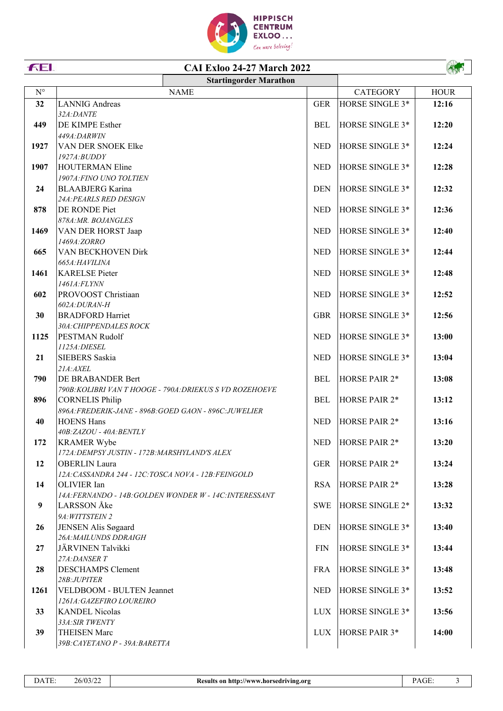

## **CAI Exloo 24-27 March 2022**

|             |                                                                                  | <b>Startingorder Marathon</b>                            |            |                        |             |
|-------------|----------------------------------------------------------------------------------|----------------------------------------------------------|------------|------------------------|-------------|
| $N^{\circ}$ |                                                                                  | <b>NAME</b>                                              |            | <b>CATEGORY</b>        | <b>HOUR</b> |
| 32          | <b>LANNIG</b> Andreas                                                            |                                                          | <b>GER</b> | HORSE SINGLE 3*        | 12:16       |
|             | 32A:DANTE                                                                        |                                                          |            |                        |             |
| 449         | DE KIMPE Esther                                                                  |                                                          | <b>BEL</b> | HORSE SINGLE 3*        | 12:20       |
|             | 449A:DARWIN                                                                      |                                                          |            |                        |             |
| 1927        | VAN DER SNOEK Elke                                                               |                                                          | <b>NED</b> | <b>HORSE SINGLE 3*</b> | 12:24       |
|             | $1927A$ : $BUDDY$                                                                |                                                          |            |                        |             |
| 1907        | <b>HOUTERMAN Eline</b>                                                           |                                                          | <b>NED</b> | <b>HORSE SINGLE 3*</b> | 12:28       |
|             | 1907A: FINO UNO TOLTIEN                                                          |                                                          |            |                        |             |
| 24          | <b>BLAABJERG</b> Karina                                                          |                                                          | <b>DEN</b> | HORSE SINGLE 3*        | 12:32       |
|             | 24A: PEARLS RED DESIGN                                                           |                                                          |            |                        |             |
| 878         | DE RONDE Piet                                                                    |                                                          | <b>NED</b> | HORSE SINGLE 3*        | 12:36       |
|             | 878A: MR. BOJANGLES                                                              |                                                          |            |                        |             |
| 1469        | VAN DER HORST Jaap<br>1469A:ZORRO                                                |                                                          | <b>NED</b> | HORSE SINGLE 3*        | 12:40       |
| 665         | VAN BECKHOVEN Dirk                                                               |                                                          | <b>NED</b> | HORSE SINGLE 3*        | 12:44       |
|             | 665A:HAVILINA                                                                    |                                                          |            |                        |             |
| 1461        | <b>KARELSE</b> Pieter                                                            |                                                          | <b>NED</b> | HORSE SINGLE 3*        | 12:48       |
|             | 1461A:FLYNN                                                                      |                                                          |            |                        |             |
| 602         | PROVOOST Christiaan                                                              |                                                          | <b>NED</b> | HORSE SINGLE 3*        | 12:52       |
|             | 602A:DURAN-H                                                                     |                                                          |            |                        |             |
| 30          | <b>BRADFORD Harriet</b>                                                          |                                                          | <b>GBR</b> | HORSE SINGLE 3*        | 12:56       |
|             | 30A: CHIPPENDALES ROCK                                                           |                                                          |            |                        |             |
| 1125        | PESTMAN Rudolf                                                                   |                                                          | <b>NED</b> | HORSE SINGLE 3*        | 13:00       |
|             | 1125A: DIESEL                                                                    |                                                          |            |                        |             |
| 21          | SIEBERS Saskia                                                                   |                                                          | <b>NED</b> | HORSE SINGLE 3*        | 13:04       |
|             | $21A$ : $AXEL$                                                                   |                                                          |            |                        |             |
| 790         | DE BRABANDER Bert                                                                |                                                          | <b>BEL</b> | <b>HORSE PAIR 2*</b>   | 13:08       |
|             |                                                                                  | 790B: KOLIBRI VAN T HOOGE - 790A: DRIEKUS S VD ROZEHOEVE |            |                        |             |
| 896         | <b>CORNELIS Philip</b><br>896A: FREDERIK-JANE - 896B: GOED GAON - 896C: JUWELIER |                                                          | <b>BEL</b> | <b>HORSE PAIR 2*</b>   | 13:12       |
| 40          | <b>HOENS Hans</b>                                                                |                                                          | <b>NED</b> | <b>HORSE PAIR 2*</b>   | 13:16       |
|             | 40B:ZAZOU - 40A:BENTLY                                                           |                                                          |            |                        |             |
| 172         | <b>KRAMER Wybe</b>                                                               |                                                          | <b>NED</b> | <b>HORSE PAIR 2*</b>   | 13:20       |
|             | 172A: DEMPSY JUSTIN - 172B: MARSHYLAND'S ALEX                                    |                                                          |            |                        |             |
| 12          | <b>OBERLIN</b> Laura                                                             |                                                          | <b>GER</b> | HORSE PAIR 2*          | 13:24       |
|             | 12A: CASSANDRA 244 - 12C: TOSCA NOVA - 12B: FEINGOLD                             |                                                          |            |                        |             |
| 14          | OLIVIER Ian                                                                      |                                                          | <b>RSA</b> | <b>HORSE PAIR 2*</b>   | 13:28       |
|             |                                                                                  | 14A: FERNANDO - 14B: GOLDEN WONDER W - 14C: INTERESSANT  |            |                        |             |
| 9           | LARSSON Åke                                                                      |                                                          | <b>SWE</b> | HORSE SINGLE 2*        | 13:32       |
|             | 9A: WITTSTEIN 2                                                                  |                                                          |            |                        |             |
| 26          | JENSEN Alis Søgaard                                                              |                                                          | <b>DEN</b> | HORSE SINGLE 3*        | 13:40       |
|             | 26A: MAILUNDS DDRAIGH                                                            |                                                          |            |                        |             |
| 27          | JÄRVINEN Talvikki                                                                |                                                          | FIN        | HORSE SINGLE 3*        | 13:44       |
|             | 27A: DANSER T                                                                    |                                                          |            |                        |             |
| 28          | <b>DESCHAMPS Clement</b>                                                         |                                                          | <b>FRA</b> | HORSE SINGLE 3*        | 13:48       |
| 1261        | 28B:JUPITER<br>VELDBOOM - BULTEN Jeannet                                         |                                                          | <b>NED</b> | HORSE SINGLE 3*        |             |
|             | 1261A: GAZEFIRO LOUREIRO                                                         |                                                          |            |                        | 13:52       |
| 33          | <b>KANDEL Nicolas</b>                                                            |                                                          | <b>LUX</b> | HORSE SINGLE 3*        | 13:56       |
|             | 33A: SIR TWENTY                                                                  |                                                          |            |                        |             |
| 39          | <b>THEISEN Marc</b>                                                              |                                                          | <b>LUX</b> | HORSE PAIR 3*          | 14:00       |
|             | 39B: CAYETANO P - 39A: BARETTA                                                   |                                                          |            |                        |             |

**FEL** 

A